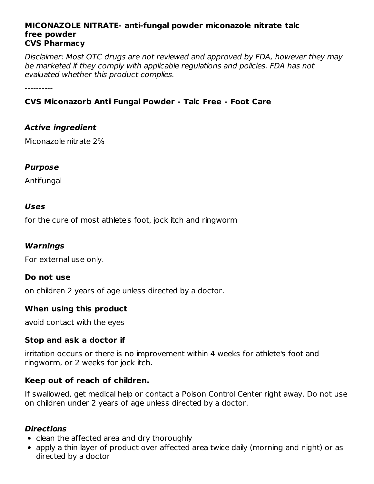#### **MICONAZOLE NITRATE- anti-fungal powder miconazole nitrate talc free powder CVS Pharmacy**

Disclaimer: Most OTC drugs are not reviewed and approved by FDA, however they may be marketed if they comply with applicable regulations and policies. FDA has not evaluated whether this product complies.

----------

# **CVS Miconazorb Anti Fungal Powder - Talc Free - Foot Care**

# **Active ingredient**

Miconazole nitrate 2%

### **Purpose**

Antifungal

### **Uses**

for the cure of most athlete's foot, jock itch and ringworm

## **Warnings**

For external use only.

### **Do not use**

on children 2 years of age unless directed by a doctor.

### **When using this product**

avoid contact with the eyes

### **Stop and ask a doctor if**

irritation occurs or there is no improvement within 4 weeks for athlete's foot and ringworm, or 2 weeks for jock itch.

### **Keep out of reach of children.**

If swallowed, get medical help or contact a Poison Control Center right away. Do not use on children under 2 years of age unless directed by a doctor.

### **Directions**

- clean the affected area and dry thoroughly
- apply a thin layer of product over affected area twice daily (morning and night) or as directed by a doctor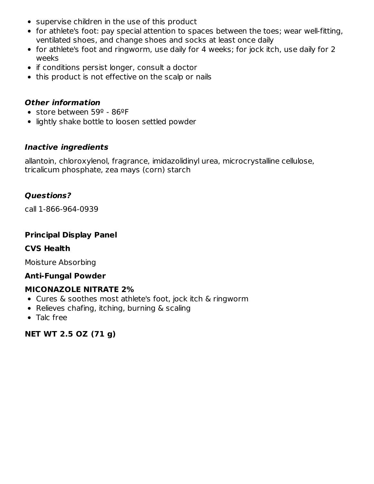- supervise children in the use of this product
- for athlete's foot: pay special attention to spaces between the toes; wear well-fitting, ventilated shoes, and change shoes and socks at least once daily
- for athlete's foot and ringworm, use daily for 4 weeks; for jock itch, use daily for 2 weeks
- if conditions persist longer, consult a doctor
- this product is not effective on the scalp or nails

### **Other information**

- store between 59º 86ºF
- lightly shake bottle to loosen settled powder

### **Inactive ingredients**

allantoin, chloroxylenol, fragrance, imidazolidinyl urea, microcrystalline cellulose, tricalicum phosphate, zea mays (corn) starch

### **Questions?**

call 1-866-964-0939

### **Principal Display Panel**

### **CVS Health**

Moisture Absorbing

### **Anti-Fungal Powder**

### **MICONAZOLE NITRATE 2%**

- Cures & soothes most athlete's foot, jock itch & ringworm
- Relieves chafing, itching, burning & scaling
- Talc free

**NET WT 2.5 OZ (71 g)**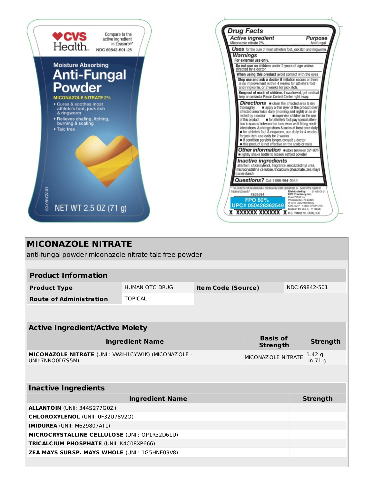

# **MICONAZOLE NITRATE** anti-fungal powder miconazole nitrate talc free powder **Product Information Product Type** HUMAN OTC DRUG **Item Code (Source)** NDC:69842-501 **Route of Administration** TOPICAL **Active Ingredient/Active Moiety Ingredient Name Basis of Strength Strength MICONAZOLE NITRATE** (UNII: VW4H1CYW1K) (MICONAZOLE - UNII:7NNO0D7S5M) MICONAZOLE NITRATE  $\frac{1.42 \text{ g}}{4.2 \text{ g}}$ in 71 g **Inactive Ingredients Ingredient Name Strength ALLANTOIN** (UNII: 344S277G0Z) **CHLOROXYLENOL** (UNII: 0F32U78V2Q) **IMIDUREA** (UNII: M629807ATL) **MICROCRYSTALLINE CELLULOSE** (UNII: OP1R32D61U) **TRICALCIUM PHOSPHATE** (UNII: K4C08XP666) **ZEA MAYS SUBSP. MAYS WHOLE** (UNII: 1G5HNE09V8)